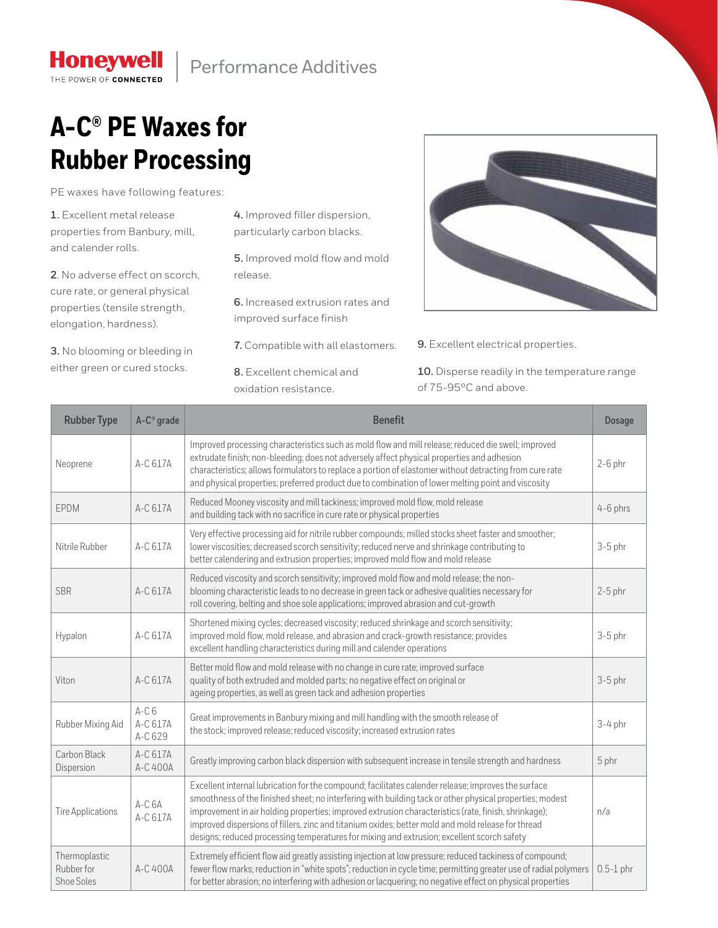## **A-C® PE Waxes for Rubber Processing**

PE waxes have following features:

**1.** Excellent metal release properties from Banbury, mill, and calender rolls.

**Honeywell** THE POWER OF CONNECTED

**2**. No adverse effect on scorch, cure rate, or general physical properties (tensile strength, elongation, hardness).

**3.** No blooming or bleeding in either green or cured stocks.

**4.** Improved filler dispersion, particularly carbon blacks.

**5.** Improved mold flow and mold release.

**6.** Increased extrusion rates and improved surface finish

**7.** Compatible with all elastomers.

**8.** Excellent chemical and oxidation resistance.



**9.** Excellent electrical properties.

**10.** Disperse readily in the temperature range of 75-95°C and above.

| <b>Rubber Type</b>                        | A-C <sup>®</sup> grade        | <b>Benefit</b>                                                                                                                                                                                                                                                                                                                                                                                                                                                                                                              | <b>Dosage</b> |
|-------------------------------------------|-------------------------------|-----------------------------------------------------------------------------------------------------------------------------------------------------------------------------------------------------------------------------------------------------------------------------------------------------------------------------------------------------------------------------------------------------------------------------------------------------------------------------------------------------------------------------|---------------|
| Neoprene                                  | A-C 617A                      | Improved processing characteristics such as mold flow and mill release; reduced die swell; improved<br>extrudate finish; non-bleeding; does not adversely affect physical properties and adhesion<br>characteristics; allows formulators to replace a portion of elastomer without detracting from cure rate<br>and physical properties; preferred product due to combination of lower melting point and viscosity                                                                                                          | $2-6$ phr     |
| <b>EPDM</b>                               | A-C 617A                      | Reduced Mooney viscosity and mill tackiness; improved mold flow, mold release<br>and building tack with no sacrifice in cure rate or physical properties                                                                                                                                                                                                                                                                                                                                                                    | 4-6 phrs      |
| Nitrile Rubber                            | A-C 617A                      | Very effective processing aid for nitrile rubber compounds; milled stocks sheet faster and smoother;<br>lower viscosities; decreased scorch sensitivity; reduced nerve and shrinkage contributing to<br>better calendering and extrusion properties; improved mold flow and mold release                                                                                                                                                                                                                                    | $3-5$ phr     |
| <b>SBR</b>                                | A-C 617A                      | Reduced viscosity and scorch sensitivity; improved mold flow and mold release; the non-<br>blooming characteristic leads to no decrease in green tack or adhesive qualities necessary for<br>roll covering, belting and shoe sole applications; improved abrasion and cut-growth                                                                                                                                                                                                                                            | $2-5$ phr     |
| Hypalon                                   | A-C 617A                      | Shortened mixing cycles; decreased viscosity; reduced shrinkage and scorch sensitivity;<br>improved mold flow, mold release, and abrasion and crack-growth resistance; provides<br>excellent handling characteristics during mill and calender operations                                                                                                                                                                                                                                                                   | $3-5$ phr     |
| Viton                                     | A-C 617A                      | Better mold flow and mold release with no change in cure rate; improved surface<br>quality of both extruded and molded parts; no negative effect on original or<br>ageing properties, as well as green tack and adhesion properties                                                                                                                                                                                                                                                                                         | $3-5$ phr     |
| Rubber Mixing Aid                         | $A-C6$<br>A-C 617A<br>A-C 629 | Great improvements in Banbury mixing and mill handling with the smooth release of<br>the stock; improved release; reduced viscosity; increased extrusion rates                                                                                                                                                                                                                                                                                                                                                              | $3-4$ phr     |
| Carbon Black<br>Dispersion                | A-C 617A<br>A-C 400A          | Greatly improving carbon black dispersion with subsequent increase in tensile strength and hardness                                                                                                                                                                                                                                                                                                                                                                                                                         | 5 phr         |
| <b>Tire Applications</b>                  | $A-C6A$<br>A-C 617A           | Excellent internal lubrication for the compound; facilitates calender release; improves the surface<br>smoothness of the finished sheet; no interfering with building tack or other physical properties; modest<br>improvement in air holding properties; improved extrusion characteristics (rate, finish, shrinkage);<br>improved dispersions of fillers, zinc and titanium oxides; better mold and mold release for thread<br>designs; reduced processing temperatures for mixing and extrusion; excellent scorch safety | n/a           |
| Thermoplastic<br>Rubber for<br>Shoe Soles | A-C 400A                      | Extremely efficient flow aid greatly assisting injection at low pressure; reduced tackiness of compound;<br>fewer flow marks; reduction in "white spots"; reduction in cycle time; permitting greater use of radial polymers<br>for better abrasion; no interfering with adhesion or lacquering; no negative effect on physical properties                                                                                                                                                                                  | $0.5-1$ phr   |